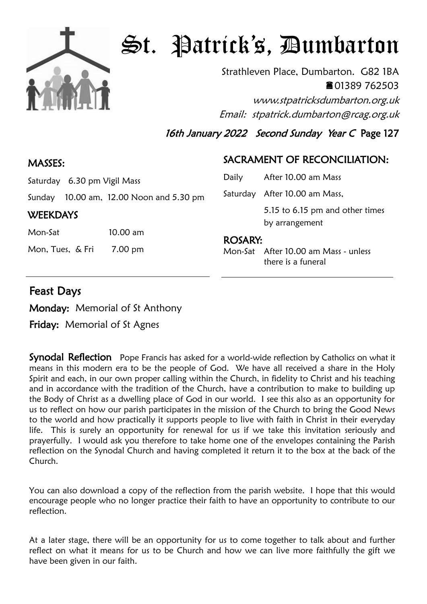

# St. Patrick's, Dumbarton

Strathleven Place, Dumbarton. G82 1BA 01389 762503 www.stpatricksdumbarton.org.uk

Email: stpatrick.dumbarton@rcag.org.uk

16th January 2022 Second Sunday Year C Page 127

### MASSES:

### SACRAMENT OF RECONCILIATION:

| Saturday 6.30 pm Vigil Mass |  |
|-----------------------------|--|
|                             |  |

Sunday 10.00 am, 12.00 Noon and 5.30 pm

#### **WEEKDAYS**

| Mon-Sat | $10.00 \text{ am}$ |
|---------|--------------------|
|         |                    |

Mon, Tues, & Fri 7.00 pm

| Daily   | After 10.00 am Mass             |  |
|---------|---------------------------------|--|
|         | Saturday After 10.00 am Mass,   |  |
|         | 5.15 to 6.15 pm and other times |  |
|         | by arrangement                  |  |
| ROSARY: |                                 |  |

Mon-Sat After 10.00 am Mass - unless there is a funeral

## Feast Days

Monday: Memorial of St Anthony

Friday: Memorial of St Agnes

**Synodal Reflection** Pope Francis has asked for a world-wide reflection by Catholics on what it means in this modern era to be the people of God. We have all received a share in the Holy Spirit and each, in our own proper calling within the Church, in fidelity to Christ and his teaching and in accordance with the tradition of the Church, have a contribution to make to building up the Body of Christ as a dwelling place of God in our world. I see this also as an opportunity for us to reflect on how our parish participates in the mission of the Church to bring the Good News to the world and how practically it supports people to live with faith in Christ in their everyday life. This is surely an opportunity for renewal for us if we take this invitation seriously and prayerfully. I would ask you therefore to take home one of the envelopes containing the Parish reflection on the Synodal Church and having completed it return it to the box at the back of the Church.

You can also download a copy of the reflection from the parish website. I hope that this would encourage people who no longer practice their faith to have an opportunity to contribute to our reflection.

At a later stage, there will be an opportunity for us to come together to talk about and further reflect on what it means for us to be Church and how we can live more faithfully the gift we have been given in our faith.